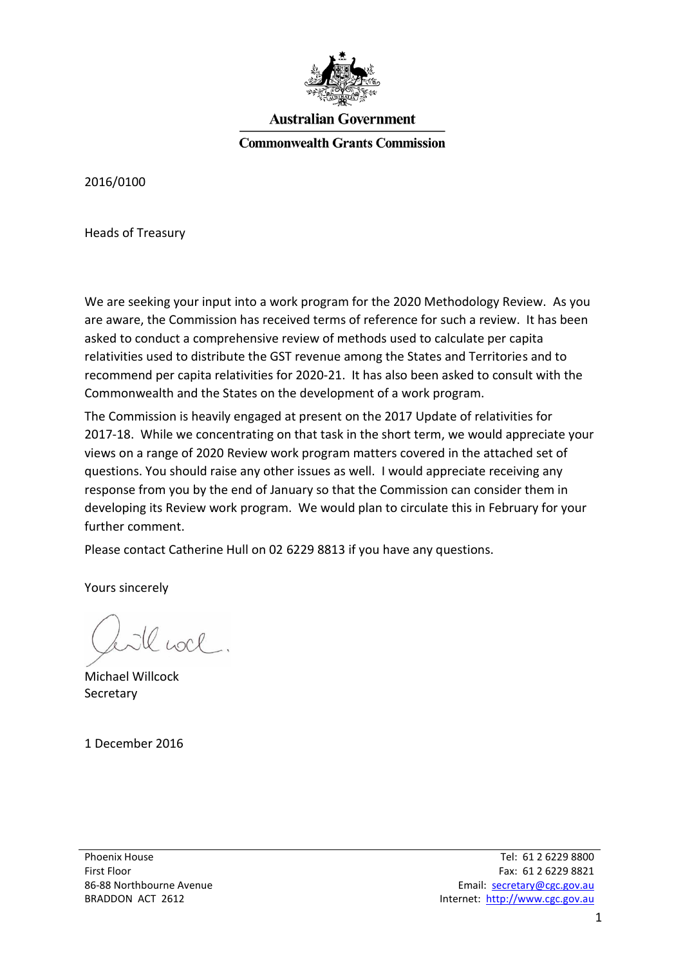

## **Australian Government**

**Commonwealth Grants Commission** 

2016/0100

Heads of Treasury

We are seeking your input into a work program for the 2020 Methodology Review. As you are aware, the Commission has received terms of reference for such a review. It has been asked to conduct a comprehensive review of methods used to calculate per capita relativities used to distribute the GST revenue among the States and Territories and to recommend per capita relativities for 2020-21. It has also been asked to consult with the Commonwealth and the States on the development of a work program.

The Commission is heavily engaged at present on the 2017 Update of relativities for 2017-18. While we concentrating on that task in the short term, we would appreciate your views on a range of 2020 Review work program matters covered in the attached set of questions. You should raise any other issues as well. I would appreciate receiving any response from you by the end of January so that the Commission can consider them in developing its Review work program. We would plan to circulate this in February for your further comment.

Please contact Catherine Hull on 02 6229 8813 if you have any questions.

Yours sincerely

le noce.

Michael Willcock Secretary

1 December 2016